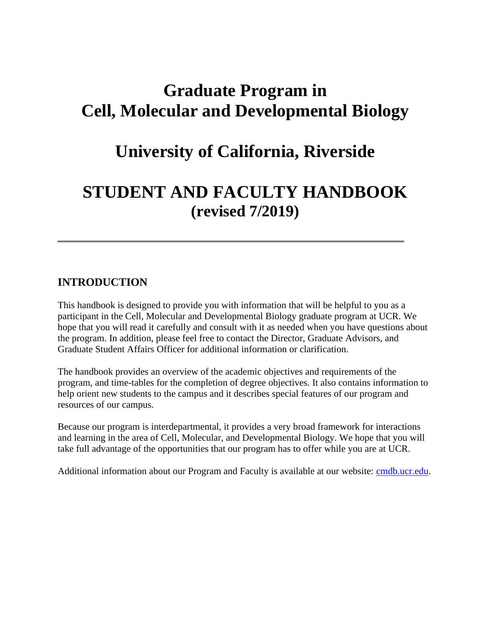# **Graduate Program in Cell, Molecular and Developmental Biology**

# **University of California, Riverside**

# **STUDENT AND FACULTY HANDBOOK (revised 7/2019)**

\_\_\_\_\_\_\_\_\_\_\_\_\_\_\_\_\_\_\_\_\_\_\_\_\_\_\_\_\_\_\_\_\_\_\_\_\_\_\_\_\_\_\_\_\_\_\_\_\_\_\_\_\_\_\_\_\_\_\_\_\_\_\_\_\_\_\_\_\_\_\_\_

# **INTRODUCTION**

This handbook is designed to provide you with information that will be helpful to you as a participant in the Cell, Molecular and Developmental Biology graduate program at UCR. We hope that you will read it carefully and consult with it as needed when you have questions about the program. In addition, please feel free to contact the Director, Graduate Advisors, and Graduate Student Affairs Officer for additional information or clarification.

The handbook provides an overview of the academic objectives and requirements of the program, and time-tables for the completion of degree objectives. It also contains information to help orient new students to the campus and it describes special features of our program and resources of our campus.

Because our program is interdepartmental, it provides a very broad framework for interactions and learning in the area of Cell, Molecular, and Developmental Biology. We hope that you will take full advantage of the opportunities that our program has to offer while you are at UCR.

Additional information about our Program and Faculty is available at our website: [cmdb.ucr.edu.](http://cmdb.ucr.edu/)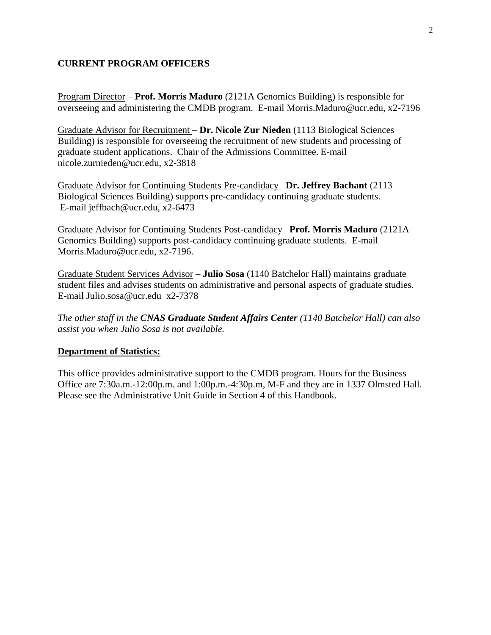### **CURRENT PROGRAM OFFICERS**

Program Director – **Prof. Morris Maduro** (2121A Genomics Building) is responsible for overseeing and administering the CMDB program. E-mail Morris.Maduro@ucr.edu, x2-7196

Graduate Advisor for Recruitment – **Dr. Nicole Zur Nieden** (1113 Biological Sciences Building) is responsible for overseeing the recruitment of new students and processing of graduate student applications. Chair of the Admissions Committee. E-mail nicole.zurnieden@ucr.edu, x2-3818

Graduate Advisor for Continuing Students Pre-candidacy –**Dr. Jeffrey Bachant** (2113 Biological Sciences Building) supports pre-candidacy continuing graduate students. E-mail jeffbach@ucr.edu, x2-6473

Graduate Advisor for Continuing Students Post-candidacy –**Prof. Morris Maduro** (2121A Genomics Building) supports post-candidacy continuing graduate students. E-mail Morris.Maduro@ucr.edu, x2-7196.

Graduate Student Services Advisor – **Julio Sosa** (1140 Batchelor Hall) maintains graduate student files and advises students on administrative and personal aspects of graduate studies. E-mail Julio.sosa@ucr.edu x2-7378

*The other staff in the CNAS Graduate Student Affairs Center (1140 Batchelor Hall) can also assist you when Julio Sosa is not available.*

### **Department of Statistics:**

This office provides administrative support to the CMDB program. Hours for the Business Office are 7:30a.m.-12:00p.m. and 1:00p.m.-4:30p.m, M-F and they are in 1337 Olmsted Hall. Please see the Administrative Unit Guide in Section 4 of this Handbook.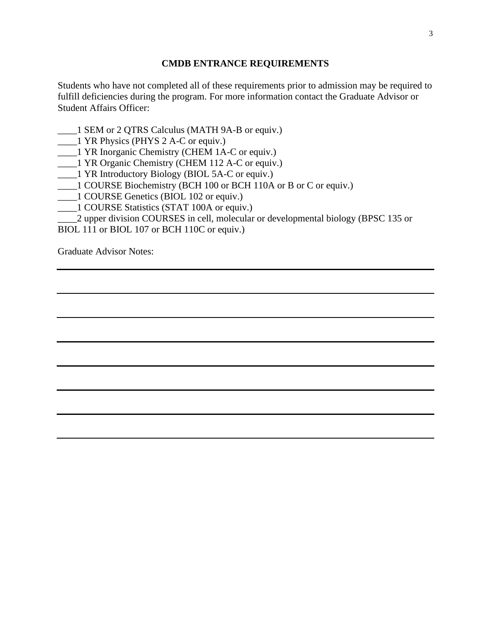### **CMDB ENTRANCE REQUIREMENTS**

Students who have not completed all of these requirements prior to admission may be required to fulfill deficiencies during the program. For more information contact the Graduate Advisor or Student Affairs Officer:

- \_\_\_\_1 SEM or 2 QTRS Calculus (MATH 9A-B or equiv.)
- \_\_\_\_1 YR Physics (PHYS 2 A-C or equiv.)

\_\_\_\_1 YR Inorganic Chemistry (CHEM 1A-C or equiv.)

\_\_\_\_1 YR Organic Chemistry (CHEM 112 A-C or equiv.)

- \_\_\_\_1 YR Introductory Biology (BIOL 5A-C or equiv.)
- \_\_\_\_1 COURSE Biochemistry (BCH 100 or BCH 110A or B or C or equiv.)
- \_\_\_\_1 COURSE Genetics (BIOL 102 or equiv.)
- \_\_\_\_1 COURSE Statistics (STAT 100A or equiv.)

\_\_\_\_2 upper division COURSES in cell, molecular or developmental biology (BPSC 135 or

BIOL 111 or BIOL 107 or BCH 110C or equiv.)

Graduate Advisor Notes: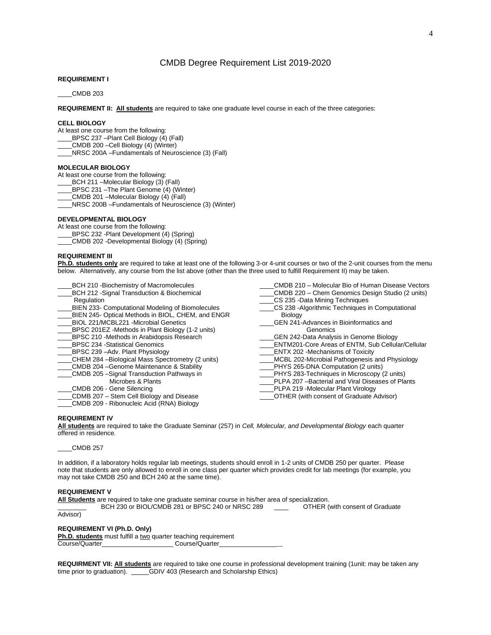#### CMDB Degree Requirement List 2019-2020

#### **REQUIREMENT I**

\_\_\_\_CMDB 203

**REQUIREMENT II: All students** are required to take one graduate level course in each of the three categories:

#### **CELL BIOLOGY**

At least one course from the following:

- BPSC 237 –Plant Cell Biology (4) (Fall)
- \_\_\_\_CMDB 200 –Cell Biology (4) (Winter)
- \_\_\_\_NRSC 200A –Fundamentals of Neuroscience (3) (Fall)

#### **MOLECULAR BIOLOGY**

At least one course from the following:

- BCH 211 –Molecular Biology (3) (Fall)
- \_\_\_\_BPSC 231 –The Plant Genome (4) (Winter)
- \_\_\_\_CMDB 201 –Molecular Biology (4) (Fall)
- \_\_\_\_NRSC 200B –Fundamentals of Neuroscience (3) (Winter)

#### **DEVELOPMENTAL BIOLOGY**

At least one course from the following:

- BPSC 232 -Plant Development (4) (Spring)
- \_\_\_\_CMDB 202 -Developmental Biology (4) (Spring)

#### **REQUIREMENT III**

**Ph.D. students only** are required to take at least one of the following 3-or 4-unit courses or two of the 2-unit courses from the menu below. Alternatively, any course from the list above (other than the three used to fulfill Requirement II) may be taken.

- BCH 210 -Biochemistry of Macromolecules
- BCH 212 -Signal Transduction & Biochemical
- **Regulation**
- BIEN 233- Computational Modeling of Biomolecules
- BIEN 245- Optical Methods in BIOL, CHEM, and ENGR
- BIOL 221/MCBL221 -Microbial Genetics
- \_\_\_\_BPSC 201EZ -Methods in Plant Biology (1-2 units)
- \_\_\_\_BPSC 210 -Methods in Arabidopsis Research
- \_\_\_\_BPSC 234 -Statistical Genomics
- BPSC 239 –Adv. Plant Physiology
- CHEM 284 –Biological Mass Spectrometry (2 units)
- \_\_\_\_CMDB 204 –Genome Maintenance & Stability
- \_\_\_\_CMDB 205 –Signal Transduction Pathways in
- Microbes & Plants
- \_\_\_\_CMDB 206 Gene Silencing
- \_\_\_\_CDMB 207 Stem Cell Biology and Disease
- \_\_\_\_CMDB 209 Ribonucleic Acid (RNA) Biology
- \_\_\_\_CMDB 210 Molecular Bio of Human Disease Vectors \_\_\_\_CMDB 220 – Chem Genomics Design Studio (2 units)
- \_\_\_\_CS 235 -Data Mining Techniques
- CS 238 -Algorithmic Techniques in Computational Biology
- \_\_\_\_GEN 241-Advances in Bioinformatics and **Genomics**
- \_\_\_\_GEN 242-Data Analysis in Genome Biology
- \_\_\_\_ENTM201-Core Areas of ENTM, Sub Cellular/Cellular
- ENTX 202 -Mechanisms of Toxicity
- MCBL 202-Microbial Pathogenesis and Physiology
- \_\_\_\_PHYS 265-DNA Computation (2 units)
- \_\_\_\_PHYS 283-Techniques in Microscopy (2 units)
- PLPA 207 –Bacterial and Viral Diseases of Plants
- \_\_\_\_PLPA 219 -Molecular Plant Virology
- \_\_\_\_OTHER (with consent of Graduate Advisor)

#### **REQUIREMENT IV**

**All students** are required to take the Graduate Seminar (257) in *Cell, Molecular, and Developmental Biology* each quarter offered in residence.

\_\_\_\_CMDB 257

In addition, if a laboratory holds regular lab meetings, students should enroll in 1-2 units of CMDB 250 per quarter. Please note that students are only allowed to enroll in one class per quarter which provides credit for lab meetings (for example, you may not take CMDB 250 and BCH 240 at the same time).

#### **REQUIREMENT V**

**All Students** are required to take one graduate seminar course in his/her area of specialization.

BCH 230 or BIOL/CMDB 281 or BPSC 240 or NRSC 289 \_\_\_\_ OTHER (with consent of Graduate

Advisor)

#### **REQUIREMENT VI (Ph.D. Only)**

**Ph.D. students** must fulfill a two quarter teaching requirement Course/Quarter\_\_\_\_\_\_\_\_\_\_\_\_\_\_\_\_\_\_\_\_\_\_\_\_\_\_\_\_\_\_Course/Quarter

**REQUIRMENT VII: All students** are required to take one course in professional development training (1unit: may be taken any time prior to graduation).GDIV 403 (Research and Scholarship Ethics)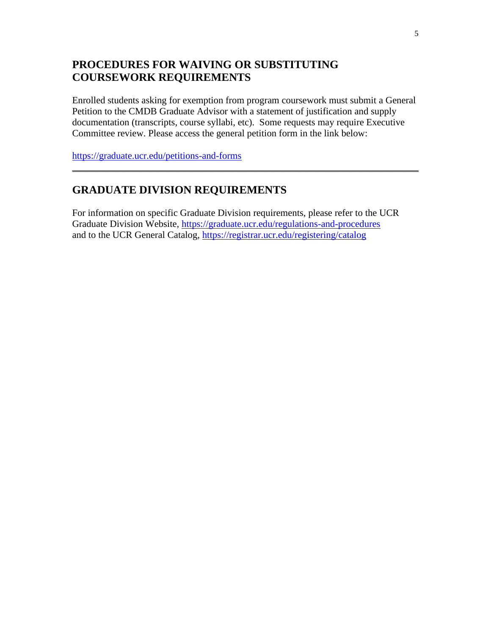# **PROCEDURES FOR WAIVING OR SUBSTITUTING COURSEWORK REQUIREMENTS**

Enrolled students asking for exemption from program coursework must submit a General Petition to the CMDB Graduate Advisor with a statement of justification and supply documentation (transcripts, course syllabi, etc). Some requests may require Executive Committee review. Please access the general petition form in the link below:

\_\_\_\_\_\_\_\_\_\_\_\_\_\_\_\_\_\_\_\_\_\_\_\_\_\_\_\_\_\_\_\_\_\_\_\_\_\_\_\_\_\_\_\_\_\_\_\_\_\_\_\_\_\_\_\_\_\_\_\_\_\_\_\_\_\_\_\_\_\_\_\_

<https://graduate.ucr.edu/petitions-and-forms>

# **GRADUATE DIVISION REQUIREMENTS**

For information on specific Graduate Division requirements, please refer to the UCR Graduate Division Website,<https://graduate.ucr.edu/regulations-and-procedures> and to the UCR General Catalog,<https://registrar.ucr.edu/registering/catalog>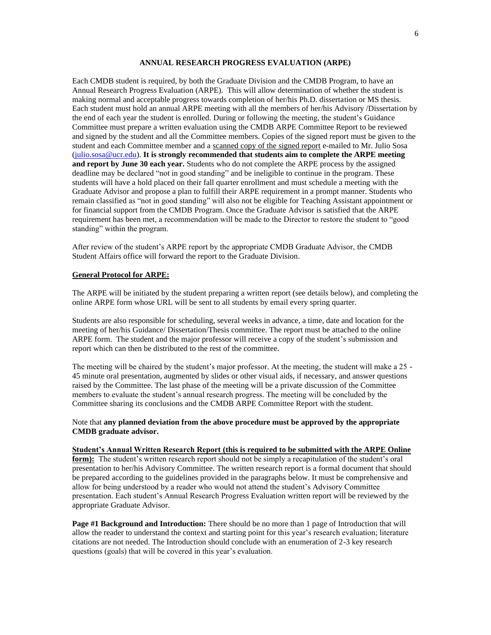#### **ANNUAL RESEARCH PROGRESS EVALUATION (ARPE)**

Each CMDB student is required, by both the Graduate Division and the CMDB Program, to have an Annual Research Progress Evaluation (ARPE). This will allow determination of whether the student is making normal and acceptable progress towards completion of her/his Ph.D. dissertation or MS thesis. Each student must hold an annual ARPE meeting with all the members of her/his Advisory /Dissertation by the end of each year the student is enrolled. During or following the meeting, the student's Guidance Committee must prepare a written evaluation using the CMDB ARPE Committee Report to be reviewed and signed by the student and all the Committee members. Copies of the signed report must be given to the student and each Committee member and a scanned copy of the signed report e-mailed to Mr. Julio Sosa [\(julio.sosa@ucr.edu\)](mailto:julio.sosa@ucr.edu). **It is strongly recommended that students aim to complete the ARPE meeting and report by June 30 each year.** Students who do not complete the ARPE process by the assigned deadline may be declared "not in good standing" and be ineligible to continue in the program. These students will have a hold placed on their fall quarter enrollment and must schedule a meeting with the Graduate Advisor and propose a plan to fulfill their ARPE requirement in a prompt manner. Students who remain classified as "not in good standing" will also not be eligible for Teaching Assistant appointment or for financial support from the CMDB Program. Once the Graduate Advisor is satisfied that the ARPE requirement has been met, a recommendation will be made to the Director to restore the student to "good standing" within the program.

After review of the student's ARPE report by the appropriate CMDB Graduate Advisor, the CMDB Student Affairs office will forward the report to the Graduate Division.

#### **General Protocol for ARPE:**

The ARPE will be initiated by the student preparing a written report (see details below), and completing the online ARPE form whose URL will be sent to all students by email every spring quarter.

Students are also responsible for scheduling, several weeks in advance, a time, date and location for the meeting of her/his Guidance/ Dissertation/Thesis committee. The report must be attached to the online ARPE form. The student and the major professor will receive a copy of the student's submission and report which can then be distributed to the rest of the committee.

The meeting will be chaired by the student's major professor. At the meeting, the student will make a 25 - 45 minute oral presentation, augmented by slides or other visual aids, if necessary, and answer questions raised by the Committee. The last phase of the meeting will be a private discussion of the Committee members to evaluate the student's annual research progress. The meeting will be concluded by the Committee sharing its conclusions and the CMDB ARPE Committee Report with the student.

#### Note that **any planned deviation from the above procedure must be approved by the appropriate CMDB graduate advisor.**

#### **Student's Annual Written Research Report (this is required to be submitted with the ARPE Online**

**form):** The student's written research report should not be simply a recapitulation of the student's oral presentation to her/his Advisory Committee. The written research report is a formal document that should be prepared according to the guidelines provided in the paragraphs below. It must be comprehensive and allow for being understood by a reader who would not attend the student's Advisory Committee presentation. Each student's Annual Research Progress Evaluation written report will be reviewed by the appropriate Graduate Advisor.

**Page #1 Background and Introduction:** There should be no more than 1 page of Introduction that will allow the reader to understand the context and starting point for this year's research evaluation; literature citations are not needed. The Introduction should conclude with an enumeration of 2-3 key research questions (goals) that will be covered in this year's evaluation.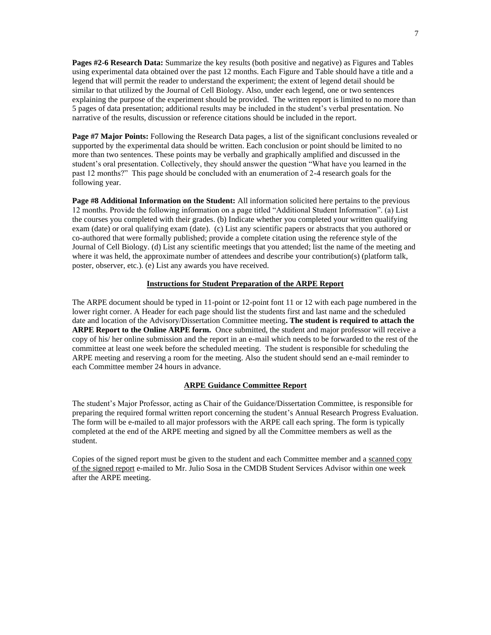**Pages #2-6 Research Data:** Summarize the key results (both positive and negative) as Figures and Tables using experimental data obtained over the past 12 months. Each Figure and Table should have a title and a legend that will permit the reader to understand the experiment; the extent of legend detail should be similar to that utilized by the Journal of Cell Biology. Also, under each legend, one or two sentences explaining the purpose of the experiment should be provided. The written report is limited to no more than 5 pages of data presentation; additional results may be included in the student's verbal presentation. No narrative of the results, discussion or reference citations should be included in the report.

**Page #7 Major Points:** Following the Research Data pages, a list of the significant conclusions revealed or supported by the experimental data should be written. Each conclusion or point should be limited to no more than two sentences. These points may be verbally and graphically amplified and discussed in the student's oral presentation. Collectively, they should answer the question "What have you learned in the past 12 months?" This page should be concluded with an enumeration of 2-4 research goals for the following year.

**Page #8 Additional Information on the Student:** All information solicited here pertains to the previous 12 months. Provide the following information on a page titled "Additional Student Information". (a) List the courses you completed with their grades. (b) Indicate whether you completed your written qualifying exam (date) or oral qualifying exam (date). (c) List any scientific papers or abstracts that you authored or co-authored that were formally published; provide a complete citation using the reference style of the Journal of Cell Biology. (d) List any scientific meetings that you attended; list the name of the meeting and where it was held, the approximate number of attendees and describe your contribution(s) (platform talk, poster, observer, etc.). (e) List any awards you have received.

#### **Instructions for Student Preparation of the ARPE Report**

The ARPE document should be typed in 11-point or 12-point font 11 or 12 with each page numbered in the lower right corner. A Header for each page should list the students first and last name and the scheduled date and location of the Advisory/Dissertation Committee meeting**. The student is required to attach the ARPE Report to the Online ARPE form.** Once submitted, the student and major professor will receive a copy of his/ her online submission and the report in an e-mail which needs to be forwarded to the rest of the committee at least one week before the scheduled meeting. The student is responsible for scheduling the ARPE meeting and reserving a room for the meeting. Also the student should send an e-mail reminder to each Committee member 24 hours in advance.

#### **ARPE Guidance Committee Report**

The student's Major Professor, acting as Chair of the Guidance/Dissertation Committee, is responsible for preparing the required formal written report concerning the student's Annual Research Progress Evaluation. The form will be e-mailed to all major professors with the ARPE call each spring. The form is typically completed at the end of the ARPE meeting and signed by all the Committee members as well as the student.

Copies of the signed report must be given to the student and each Committee member and a scanned copy of the signed report e-mailed to Mr. Julio Sosa in the CMDB Student Services Advisor within one week after the ARPE meeting.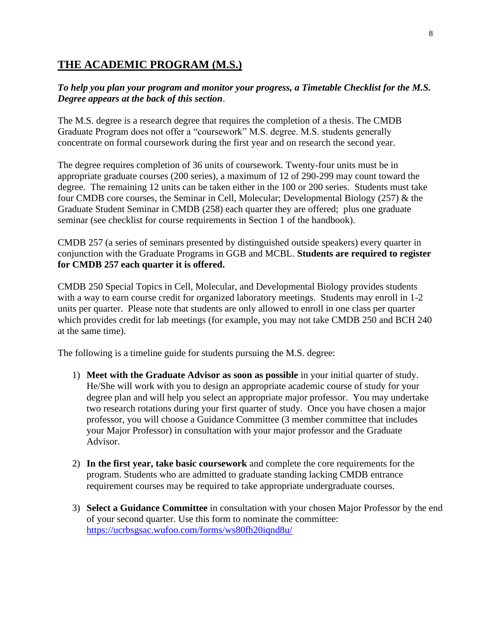# **THE ACADEMIC PROGRAM (M.S.)**

### *To help you plan your program and monitor your progress, a Timetable Checklist for the M.S. Degree appears at the back of this section*.

The M.S. degree is a research degree that requires the completion of a thesis. The CMDB Graduate Program does not offer a "coursework" M.S. degree. M.S. students generally concentrate on formal coursework during the first year and on research the second year.

The degree requires completion of 36 units of coursework. Twenty-four units must be in appropriate graduate courses (200 series), a maximum of 12 of 290-299 may count toward the degree. The remaining 12 units can be taken either in the 100 or 200 series. Students must take four CMDB core courses, the Seminar in Cell, Molecular; Developmental Biology (257) & the Graduate Student Seminar in CMDB (258) each quarter they are offered; plus one graduate seminar (see checklist for course requirements in Section 1 of the handbook).

CMDB 257 (a series of seminars presented by distinguished outside speakers) every quarter in conjunction with the Graduate Programs in GGB and MCBL. **Students are required to register for CMDB 257 each quarter it is offered.** 

CMDB 250 Special Topics in Cell, Molecular, and Developmental Biology provides students with a way to earn course credit for organized laboratory meetings. Students may enroll in 1-2 units per quarter. Please note that students are only allowed to enroll in one class per quarter which provides credit for lab meetings (for example, you may not take CMDB 250 and BCH 240 at the same time).

The following is a timeline guide for students pursuing the M.S. degree:

- 1) **Meet with the Graduate Advisor as soon as possible** in your initial quarter of study. He/She will work with you to design an appropriate academic course of study for your degree plan and will help you select an appropriate major professor. You may undertake two research rotations during your first quarter of study. Once you have chosen a major professor, you will choose a Guidance Committee (3 member committee that includes your Major Professor) in consultation with your major professor and the Graduate Advisor.
- 2) **In the first year, take basic coursework** and complete the core requirements for the program. Students who are admitted to graduate standing lacking CMDB entrance requirement courses may be required to take appropriate undergraduate courses.
- 3) **Select a Guidance Committee** in consultation with your chosen Major Professor by the end of your second quarter. Use this form to nominate the committee: <https://ucrbsgsac.wufoo.com/forms/ws80fh20iqnd8u/>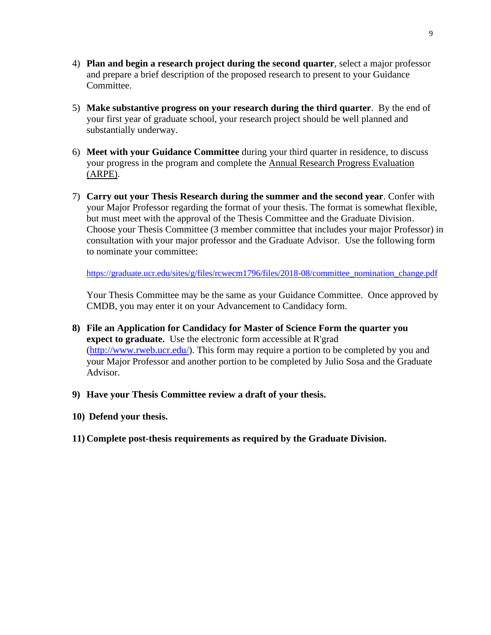- 4) **Plan and begin a research project during the second quarter**, select a major professor and prepare a brief description of the proposed research to present to your Guidance Committee.
- 5) **Make substantive progress on your research during the third quarter**. By the end of your first year of graduate school, your research project should be well planned and substantially underway.
- 6) **Meet with your Guidance Committee** during your third quarter in residence, to discuss your progress in the program and complete the Annual Research Progress Evaluation (ARPE).
- 7) **Carry out your Thesis Research during the summer and the second year**. Confer with your Major Professor regarding the format of your thesis. The format is somewhat flexible, but must meet with the approval of the Thesis Committee and the Graduate Division. Choose your Thesis Committee (3 member committee that includes your major Professor) in consultation with your major professor and the Graduate Advisor. Use the following form to nominate your committee:

[https://graduate.ucr.edu/sites/g/files/rcwecm1796/files/2018-08/committee\\_nomination\\_change.pdf](https://graduate.ucr.edu/sites/g/files/rcwecm1796/files/2018-08/committee_nomination_change.pdf)

Your Thesis Committee may be the same as your Guidance Committee. Once approved by CMDB, you may enter it on your Advancement to Candidacy form.

- **8) File an Application for Candidacy for Master of Science Form the quarter you expect to graduate.** Use the electronic form accessible at R'grad [\(http://www.rweb.ucr.edu/\)](http://www.rweb.ucr.edu/). This form may require a portion to be completed by you and your Major Professor and another portion to be completed by Julio Sosa and the Graduate Advisor.
- **9) Have your Thesis Committee review a draft of your thesis.**
- **10) Defend your thesis.**
- **11) Complete post-thesis requirements as required by the Graduate Division.**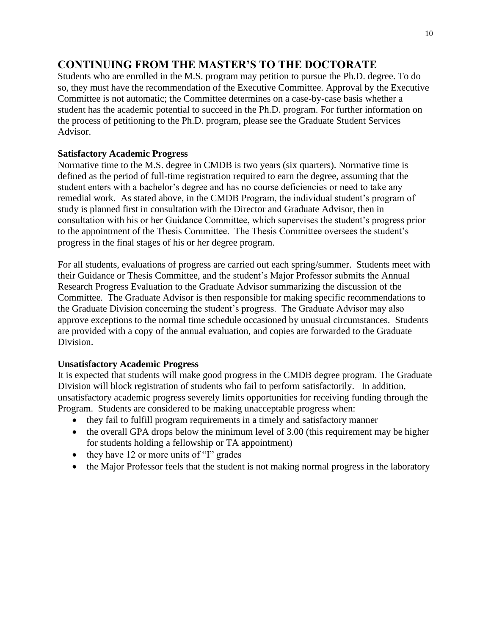# **CONTINUING FROM THE MASTER'S TO THE DOCTORATE**

Students who are enrolled in the M.S. program may petition to pursue the Ph.D. degree. To do so, they must have the recommendation of the Executive Committee. Approval by the Executive Committee is not automatic; the Committee determines on a case-by-case basis whether a student has the academic potential to succeed in the Ph.D. program. For further information on the process of petitioning to the Ph.D. program, please see the Graduate Student Services Advisor.

### **Satisfactory Academic Progress**

Normative time to the M.S. degree in CMDB is two years (six quarters). Normative time is defined as the period of full-time registration required to earn the degree, assuming that the student enters with a bachelor's degree and has no course deficiencies or need to take any remedial work. As stated above, in the CMDB Program, the individual student's program of study is planned first in consultation with the Director and Graduate Advisor, then in consultation with his or her Guidance Committee, which supervises the student's progress prior to the appointment of the Thesis Committee. The Thesis Committee oversees the student's progress in the final stages of his or her degree program.

For all students, evaluations of progress are carried out each spring/summer. Students meet with their Guidance or Thesis Committee, and the student's Major Professor submits the Annual Research Progress Evaluation to the Graduate Advisor summarizing the discussion of the Committee. The Graduate Advisor is then responsible for making specific recommendations to the Graduate Division concerning the student's progress. The Graduate Advisor may also approve exceptions to the normal time schedule occasioned by unusual circumstances. Students are provided with a copy of the annual evaluation, and copies are forwarded to the Graduate Division.

### **Unsatisfactory Academic Progress**

It is expected that students will make good progress in the CMDB degree program. The Graduate Division will block registration of students who fail to perform satisfactorily. In addition, unsatisfactory academic progress severely limits opportunities for receiving funding through the Program. Students are considered to be making unacceptable progress when:

- they fail to fulfill program requirements in a timely and satisfactory manner
- the overall GPA drops below the minimum level of 3.00 (this requirement may be higher for students holding a fellowship or TA appointment)
- they have 12 or more units of "I" grades
- the Major Professor feels that the student is not making normal progress in the laboratory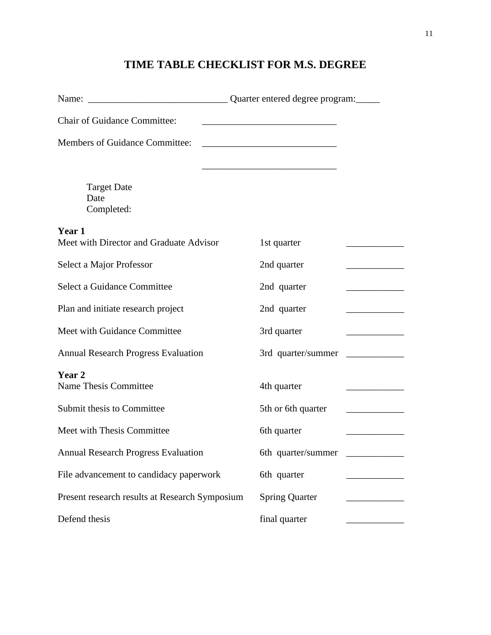# **TIME TABLE CHECKLIST FOR M.S. DEGREE**

| <b>Chair of Guidance Committee:</b>               |                                                        |
|---------------------------------------------------|--------------------------------------------------------|
| Members of Guidance Committee:                    |                                                        |
|                                                   |                                                        |
| <b>Target Date</b><br>Date                        |                                                        |
| Completed:                                        |                                                        |
| Year 1<br>Meet with Director and Graduate Advisor | 1st quarter                                            |
| Select a Major Professor                          | 2nd quarter                                            |
| Select a Guidance Committee                       | 2nd quarter                                            |
| Plan and initiate research project                | 2nd quarter                                            |
| Meet with Guidance Committee                      | 3rd quarter<br><u> 1990 - Johann Barbara, martxa a</u> |
| <b>Annual Research Progress Evaluation</b>        | 3rd quarter/summer                                     |
| Year 2<br><b>Name Thesis Committee</b>            | 4th quarter                                            |
| Submit thesis to Committee                        | 5th or 6th quarter                                     |
| Meet with Thesis Committee                        | 6th quarter                                            |
| <b>Annual Research Progress Evaluation</b>        | 6th quarter/summer                                     |
| File advancement to candidacy paperwork           | 6th quarter                                            |
| Present research results at Research Symposium    | <b>Spring Quarter</b>                                  |
| Defend thesis                                     | final quarter                                          |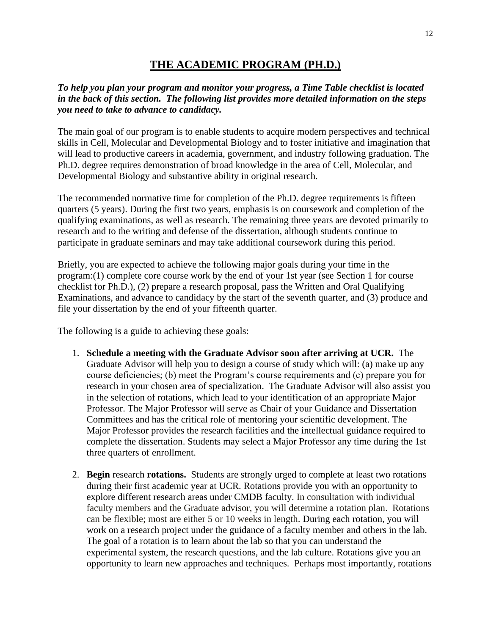# **THE ACADEMIC PROGRAM (PH.D.)**

### *To help you plan your program and monitor your progress, a Time Table checklist is located in the back of this section. The following list provides more detailed information on the steps you need to take to advance to candidacy.*

The main goal of our program is to enable students to acquire modern perspectives and technical skills in Cell, Molecular and Developmental Biology and to foster initiative and imagination that will lead to productive careers in academia, government, and industry following graduation. The Ph.D. degree requires demonstration of broad knowledge in the area of Cell, Molecular, and Developmental Biology and substantive ability in original research.

The recommended normative time for completion of the Ph.D. degree requirements is fifteen quarters (5 years). During the first two years, emphasis is on coursework and completion of the qualifying examinations, as well as research. The remaining three years are devoted primarily to research and to the writing and defense of the dissertation, although students continue to participate in graduate seminars and may take additional coursework during this period.

Briefly, you are expected to achieve the following major goals during your time in the program:(1) complete core course work by the end of your 1st year (see Section 1 for course checklist for Ph.D.), (2) prepare a research proposal, pass the Written and Oral Qualifying Examinations, and advance to candidacy by the start of the seventh quarter, and (3) produce and file your dissertation by the end of your fifteenth quarter.

The following is a guide to achieving these goals:

- 1. **Schedule a meeting with the Graduate Advisor soon after arriving at UCR.** The Graduate Advisor will help you to design a course of study which will: (a) make up any course deficiencies; (b) meet the Program's course requirements and (c) prepare you for research in your chosen area of specialization. The Graduate Advisor will also assist you in the selection of rotations, which lead to your identification of an appropriate Major Professor. The Major Professor will serve as Chair of your Guidance and Dissertation Committees and has the critical role of mentoring your scientific development. The Major Professor provides the research facilities and the intellectual guidance required to complete the dissertation. Students may select a Major Professor any time during the 1st three quarters of enrollment.
- 2. **Begin** research **rotations.** Students are strongly urged to complete at least two rotations during their first academic year at UCR. Rotations provide you with an opportunity to explore different research areas under CMDB faculty. In consultation with individual faculty members and the Graduate advisor, you will determine a rotation plan. Rotations can be flexible; most are either 5 or 10 weeks in length. During each rotation, you will work on a research project under the guidance of a faculty member and others in the lab. The goal of a rotation is to learn about the lab so that you can understand the experimental system, the research questions, and the lab culture. Rotations give you an opportunity to learn new approaches and techniques. Perhaps most importantly, rotations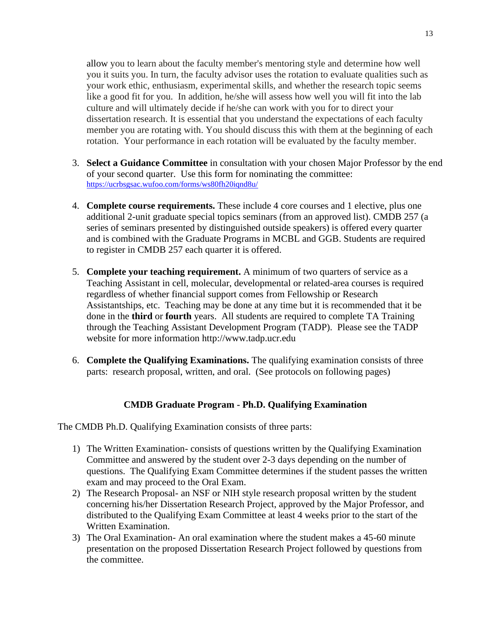allow you to learn about the faculty member's mentoring style and determine how well you it suits you. In turn, the faculty advisor uses the rotation to evaluate qualities such as your work ethic, enthusiasm, experimental skills, and whether the research topic seems like a good fit for you. In addition, he/she will assess how well you will fit into the lab culture and will ultimately decide if he/she can work with you for to direct your dissertation research. It is essential that you understand the expectations of each faculty member you are rotating with. You should discuss this with them at the beginning of each rotation. Your performance in each rotation will be evaluated by the faculty member.

- 3. **Select a Guidance Committee** in consultation with your chosen Major Professor by the end of your second quarter. Use this form for nominating the committee: <https://ucrbsgsac.wufoo.com/forms/ws80fh20iqnd8u/>
- 4. **Complete course requirements.** These include 4 core courses and 1 elective, plus one additional 2-unit graduate special topics seminars (from an approved list). CMDB 257 (a series of seminars presented by distinguished outside speakers) is offered every quarter and is combined with the Graduate Programs in MCBL and GGB. Students are required to register in CMDB 257 each quarter it is offered.
- 5. **Complete your teaching requirement.** A minimum of two quarters of service as a Teaching Assistant in cell, molecular, developmental or related-area courses is required regardless of whether financial support comes from Fellowship or Research Assistantships, etc. Teaching may be done at any time but it is recommended that it be done in the **third** or **fourth** years. All students are required to complete TA Training through the Teaching Assistant Development Program (TADP). Please see the TADP website for more information http://www.tadp.ucr.edu
- 6. **Complete the Qualifying Examinations.** The qualifying examination consists of three parts: research proposal, written, and oral. (See protocols on following pages)

### **CMDB Graduate Program - Ph.D. Qualifying Examination**

The CMDB Ph.D. Qualifying Examination consists of three parts:

- 1) The Written Examination- consists of questions written by the Qualifying Examination Committee and answered by the student over 2-3 days depending on the number of questions. The Qualifying Exam Committee determines if the student passes the written exam and may proceed to the Oral Exam.
- 2) The Research Proposal- an NSF or NIH style research proposal written by the student concerning his/her Dissertation Research Project, approved by the Major Professor, and distributed to the Qualifying Exam Committee at least 4 weeks prior to the start of the Written Examination.
- 3) The Oral Examination- An oral examination where the student makes a 45-60 minute presentation on the proposed Dissertation Research Project followed by questions from the committee.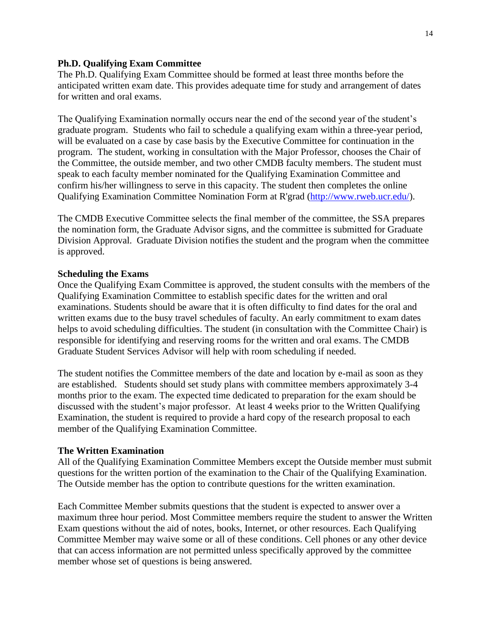### **Ph.D. Qualifying Exam Committee**

The Ph.D. Qualifying Exam Committee should be formed at least three months before the anticipated written exam date. This provides adequate time for study and arrangement of dates for written and oral exams.

The Qualifying Examination normally occurs near the end of the second year of the student's graduate program. Students who fail to schedule a qualifying exam within a three-year period, will be evaluated on a case by case basis by the Executive Committee for continuation in the program. The student, working in consultation with the Major Professor, chooses the Chair of the Committee, the outside member, and two other CMDB faculty members. The student must speak to each faculty member nominated for the Qualifying Examination Committee and confirm his/her willingness to serve in this capacity. The student then completes the online Qualifying Examination Committee Nomination Form at R'grad [\(http://www.rweb.ucr.edu/\)](http://www.rweb.ucr.edu/).

The CMDB Executive Committee selects the final member of the committee, the SSA prepares the nomination form, the Graduate Advisor signs, and the committee is submitted for Graduate Division Approval. Graduate Division notifies the student and the program when the committee is approved.

### **Scheduling the Exams**

Once the Qualifying Exam Committee is approved, the student consults with the members of the Qualifying Examination Committee to establish specific dates for the written and oral examinations. Students should be aware that it is often difficulty to find dates for the oral and written exams due to the busy travel schedules of faculty. An early commitment to exam dates helps to avoid scheduling difficulties. The student (in consultation with the Committee Chair) is responsible for identifying and reserving rooms for the written and oral exams. The CMDB Graduate Student Services Advisor will help with room scheduling if needed.

The student notifies the Committee members of the date and location by e-mail as soon as they are established. Students should set study plans with committee members approximately 3-4 months prior to the exam. The expected time dedicated to preparation for the exam should be discussed with the student's major professor. At least 4 weeks prior to the Written Qualifying Examination, the student is required to provide a hard copy of the research proposal to each member of the Qualifying Examination Committee.

#### **The Written Examination**

All of the Qualifying Examination Committee Members except the Outside member must submit questions for the written portion of the examination to the Chair of the Qualifying Examination. The Outside member has the option to contribute questions for the written examination.

Each Committee Member submits questions that the student is expected to answer over a maximum three hour period. Most Committee members require the student to answer the Written Exam questions without the aid of notes, books, Internet, or other resources. Each Qualifying Committee Member may waive some or all of these conditions. Cell phones or any other device that can access information are not permitted unless specifically approved by the committee member whose set of questions is being answered.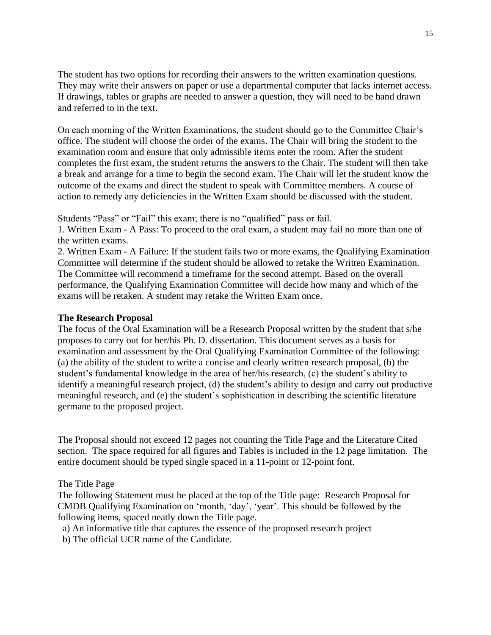The student has two options for recording their answers to the written examination questions. They may write their answers on paper or use a departmental computer that lacks internet access. If drawings, tables or graphs are needed to answer a question, they will need to be hand drawn and referred to in the text.

On each morning of the Written Examinations, the student should go to the Committee Chair's office. The student will choose the order of the exams. The Chair will bring the student to the examination room and ensure that only admissible items enter the room. After the student completes the first exam, the student returns the answers to the Chair. The student will then take a break and arrange for a time to begin the second exam. The Chair will let the student know the outcome of the exams and direct the student to speak with Committee members. A course of action to remedy any deficiencies in the Written Exam should be discussed with the student.

Students "Pass" or "Fail" this exam; there is no "qualified" pass or fail.

1. Written Exam - A Pass: To proceed to the oral exam, a student may fail no more than one of the written exams.

2. Written Exam - A Failure: If the student fails two or more exams, the Qualifying Examination Committee will determine if the student should be allowed to retake the Written Examination. The Committee will recommend a timeframe for the second attempt. Based on the overall performance, the Qualifying Examination Committee will decide how many and which of the exams will be retaken. A student may retake the Written Exam once.

### **The Research Proposal**

The focus of the Oral Examination will be a Research Proposal written by the student that s/he proposes to carry out for her/his Ph. D. dissertation. This document serves as a basis for examination and assessment by the Oral Qualifying Examination Committee of the following: (a) the ability of the student to write a concise and clearly written research proposal, (b) the student's fundamental knowledge in the area of her/his research, (c) the student's ability to identify a meaningful research project, (d) the student's ability to design and carry out productive meaningful research, and (e) the student's sophistication in describing the scientific literature germane to the proposed project.

The Proposal should not exceed 12 pages not counting the Title Page and the Literature Cited section. The space required for all figures and Tables is included in the 12 page limitation. The entire document should be typed single spaced in a 11-point or 12-point font.

The Title Page

The following Statement must be placed at the top of the Title page: Research Proposal for CMDB Qualifying Examination on 'month, 'day', 'year'. This should be followed by the following items, spaced neatly down the Title page.

a) An informative title that captures the essence of the proposed research project

b) The official UCR name of the Candidate.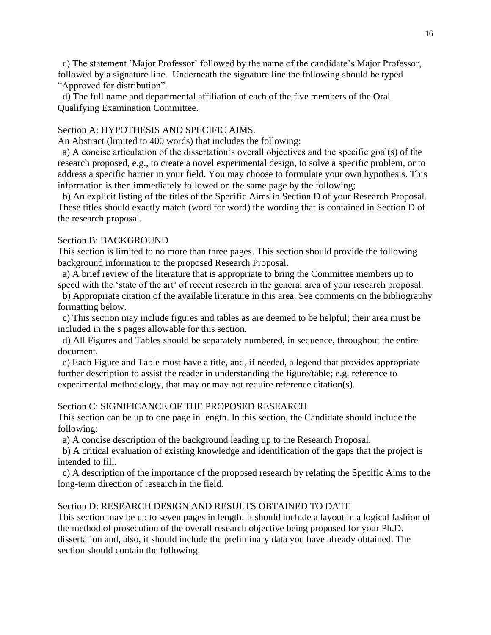c) The statement 'Major Professor' followed by the name of the candidate's Major Professor, followed by a signature line. Underneath the signature line the following should be typed "Approved for distribution".

 d) The full name and departmental affiliation of each of the five members of the Oral Qualifying Examination Committee.

### Section A: HYPOTHESIS AND SPECIFIC AIMS.

An Abstract (limited to 400 words) that includes the following:

 a) A concise articulation of the dissertation's overall objectives and the specific goal(s) of the research proposed, e.g., to create a novel experimental design, to solve a specific problem, or to address a specific barrier in your field. You may choose to formulate your own hypothesis. This information is then immediately followed on the same page by the following;

 b) An explicit listing of the titles of the Specific Aims in Section D of your Research Proposal. These titles should exactly match (word for word) the wording that is contained in Section D of the research proposal.

### Section B: BACKGROUND

This section is limited to no more than three pages. This section should provide the following background information to the proposed Research Proposal.

 a) A brief review of the literature that is appropriate to bring the Committee members up to speed with the 'state of the art' of recent research in the general area of your research proposal.

 b) Appropriate citation of the available literature in this area. See comments on the bibliography formatting below.

 c) This section may include figures and tables as are deemed to be helpful; their area must be included in the s pages allowable for this section.

 d) All Figures and Tables should be separately numbered, in sequence, throughout the entire document.

 e) Each Figure and Table must have a title, and, if needed, a legend that provides appropriate further description to assist the reader in understanding the figure/table; e.g. reference to experimental methodology, that may or may not require reference citation(s).

### Section C: SIGNIFICANCE OF THE PROPOSED RESEARCH

This section can be up to one page in length. In this section, the Candidate should include the following:

a) A concise description of the background leading up to the Research Proposal,

 b) A critical evaluation of existing knowledge and identification of the gaps that the project is intended to fill.

 c) A description of the importance of the proposed research by relating the Specific Aims to the long-term direction of research in the field.

### Section D: RESEARCH DESIGN AND RESULTS OBTAINED TO DATE

This section may be up to seven pages in length. It should include a layout in a logical fashion of the method of prosecution of the overall research objective being proposed for your Ph.D. dissertation and, also, it should include the preliminary data you have already obtained. The section should contain the following.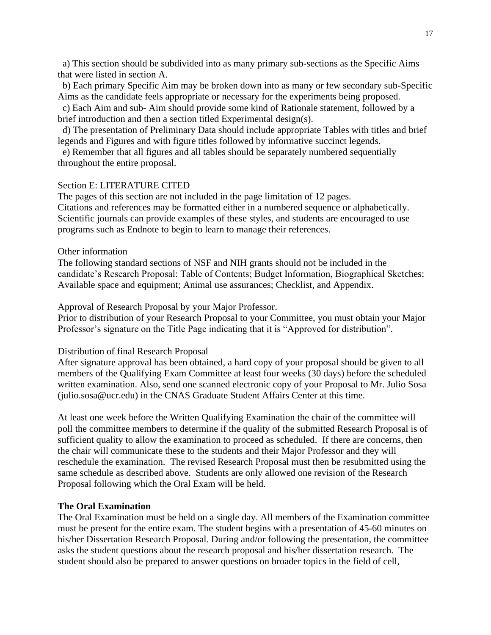a) This section should be subdivided into as many primary sub-sections as the Specific Aims that were listed in section A.

 b) Each primary Specific Aim may be broken down into as many or few secondary sub-Specific Aims as the candidate feels appropriate or necessary for the experiments being proposed.

 c) Each Aim and sub- Aim should provide some kind of Rationale statement, followed by a brief introduction and then a section titled Experimental design(s).

 d) The presentation of Preliminary Data should include appropriate Tables with titles and brief legends and Figures and with figure titles followed by informative succinct legends.

 e) Remember that all figures and all tables should be separately numbered sequentially throughout the entire proposal.

### Section E: LITERATURE CITED

The pages of this section are not included in the page limitation of 12 pages. Citations and references may be formatted either in a numbered sequence or alphabetically. Scientific journals can provide examples of these styles, and students are encouraged to use programs such as Endnote to begin to learn to manage their references.

### Other information

The following standard sections of NSF and NIH grants should not be included in the candidate's Research Proposal: Table of Contents; Budget Information, Biographical Sketches; Available space and equipment; Animal use assurances; Checklist, and Appendix.

Approval of Research Proposal by your Major Professor.

Prior to distribution of your Research Proposal to your Committee, you must obtain your Major Professor's signature on the Title Page indicating that it is "Approved for distribution".

#### Distribution of final Research Proposal

After signature approval has been obtained, a hard copy of your proposal should be given to all members of the Qualifying Exam Committee at least four weeks (30 days) before the scheduled written examination. Also, send one scanned electronic copy of your Proposal to Mr. Julio Sosa (julio.sosa@ucr.edu) in the CNAS Graduate Student Affairs Center at this time.

At least one week before the Written Qualifying Examination the chair of the committee will poll the committee members to determine if the quality of the submitted Research Proposal is of sufficient quality to allow the examination to proceed as scheduled. If there are concerns, then the chair will communicate these to the students and their Major Professor and they will reschedule the examination. The revised Research Proposal must then be resubmitted using the same schedule as described above. Students are only allowed one revision of the Research Proposal following which the Oral Exam will be held.

#### **The Oral Examination**

The Oral Examination must be held on a single day. All members of the Examination committee must be present for the entire exam. The student begins with a presentation of 45-60 minutes on his/her Dissertation Research Proposal. During and/or following the presentation, the committee asks the student questions about the research proposal and his/her dissertation research. The student should also be prepared to answer questions on broader topics in the field of cell,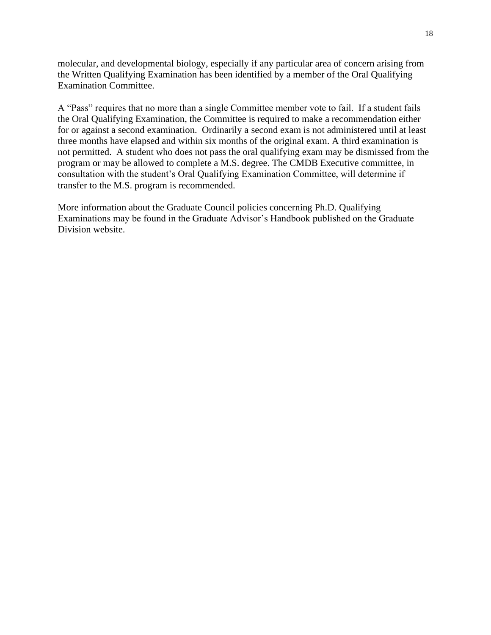molecular, and developmental biology, especially if any particular area of concern arising from the Written Qualifying Examination has been identified by a member of the Oral Qualifying Examination Committee.

A "Pass" requires that no more than a single Committee member vote to fail. If a student fails the Oral Qualifying Examination, the Committee is required to make a recommendation either for or against a second examination. Ordinarily a second exam is not administered until at least three months have elapsed and within six months of the original exam. A third examination is not permitted. A student who does not pass the oral qualifying exam may be dismissed from the program or may be allowed to complete a M.S. degree. The CMDB Executive committee, in consultation with the student's Oral Qualifying Examination Committee, will determine if transfer to the M.S. program is recommended.

More information about the Graduate Council policies concerning Ph.D. Qualifying Examinations may be found in the Graduate Advisor's Handbook published on the Graduate Division website.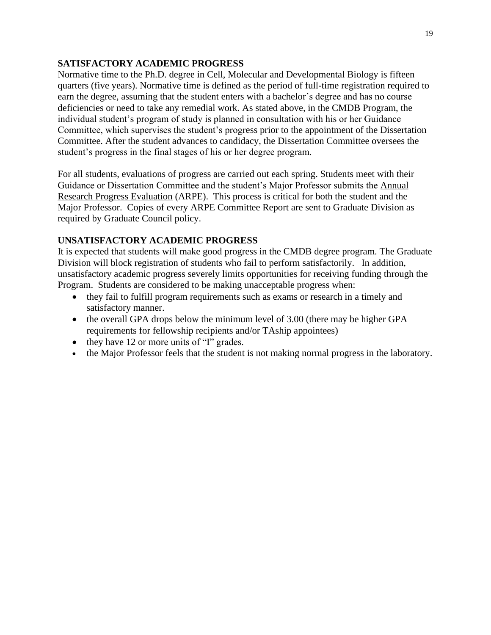### **SATISFACTORY ACADEMIC PROGRESS**

Normative time to the Ph.D. degree in Cell, Molecular and Developmental Biology is fifteen quarters (five years). Normative time is defined as the period of full-time registration required to earn the degree, assuming that the student enters with a bachelor's degree and has no course deficiencies or need to take any remedial work. As stated above, in the CMDB Program, the individual student's program of study is planned in consultation with his or her Guidance Committee, which supervises the student's progress prior to the appointment of the Dissertation Committee. After the student advances to candidacy, the Dissertation Committee oversees the student's progress in the final stages of his or her degree program.

For all students, evaluations of progress are carried out each spring. Students meet with their Guidance or Dissertation Committee and the student's Major Professor submits the Annual Research Progress Evaluation (ARPE). This process is critical for both the student and the Major Professor. Copies of every ARPE Committee Report are sent to Graduate Division as required by Graduate Council policy.

# **UNSATISFACTORY ACADEMIC PROGRESS**

It is expected that students will make good progress in the CMDB degree program. The Graduate Division will block registration of students who fail to perform satisfactorily. In addition, unsatisfactory academic progress severely limits opportunities for receiving funding through the Program. Students are considered to be making unacceptable progress when:

- they fail to fulfill program requirements such as exams or research in a timely and satisfactory manner.
- the overall GPA drops below the minimum level of 3.00 (there may be higher GPA requirements for fellowship recipients and/or TAship appointees)
- they have 12 or more units of "I" grades.
- the Major Professor feels that the student is not making normal progress in the laboratory.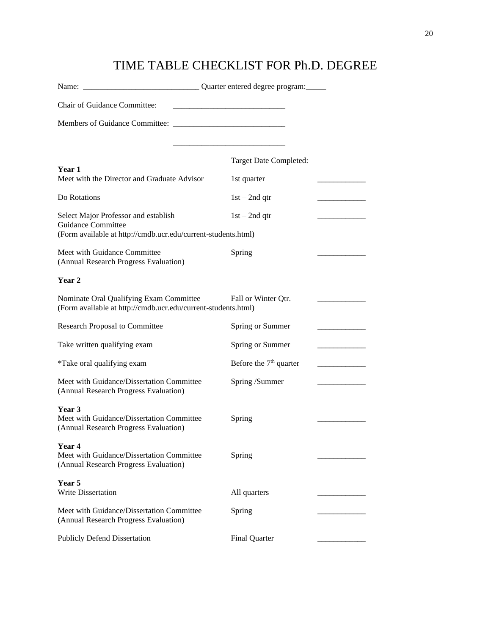# TIME TABLE CHECKLIST FOR Ph.D. DEGREE

| Chair of Guidance Committee:                                                                             |                          |  |
|----------------------------------------------------------------------------------------------------------|--------------------------|--|
|                                                                                                          |                          |  |
|                                                                                                          |                          |  |
| Year 1                                                                                                   | Target Date Completed:   |  |
| Meet with the Director and Graduate Advisor                                                              | 1st quarter              |  |
| Do Rotations                                                                                             | $1st - 2nd$ qtr          |  |
| Select Major Professor and establish<br><b>Guidance Committee</b>                                        | $1st - 2nd$ qtr          |  |
| (Form available at http://cmdb.ucr.edu/current-students.html)                                            |                          |  |
| Meet with Guidance Committee<br>(Annual Research Progress Evaluation)                                    | Spring                   |  |
| Year 2                                                                                                   |                          |  |
| Nominate Oral Qualifying Exam Committee<br>(Form available at http://cmdb.ucr.edu/current-students.html) | Fall or Winter Qtr.      |  |
| <b>Research Proposal to Committee</b>                                                                    | Spring or Summer         |  |
| Take written qualifying exam                                                                             | Spring or Summer         |  |
| *Take oral qualifying exam                                                                               | Before the $7th$ quarter |  |
| Meet with Guidance/Dissertation Committee<br>(Annual Research Progress Evaluation)                       | Spring /Summer           |  |
| Year 3<br>Meet with Guidance/Dissertation Committee<br>(Annual Research Progress Evaluation)             | Spring                   |  |
| Year 4<br>Meet with Guidance/Dissertation Committee<br>(Annual Research Progress Evaluation)             | Spring                   |  |
| Year 5<br><b>Write Dissertation</b>                                                                      | All quarters             |  |
| Meet with Guidance/Dissertation Committee<br>(Annual Research Progress Evaluation)                       | Spring                   |  |
| <b>Publicly Defend Dissertation</b>                                                                      | <b>Final Quarter</b>     |  |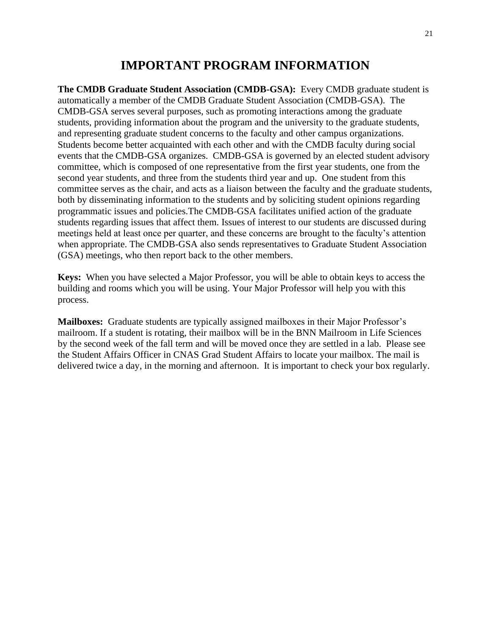# **IMPORTANT PROGRAM INFORMATION**

**The CMDB Graduate Student Association (CMDB-GSA):** Every CMDB graduate student is automatically a member of the CMDB Graduate Student Association (CMDB-GSA). The CMDB-GSA serves several purposes, such as promoting interactions among the graduate students, providing information about the program and the university to the graduate students, and representing graduate student concerns to the faculty and other campus organizations. Students become better acquainted with each other and with the CMDB faculty during social events that the CMDB-GSA organizes. CMDB-GSA is governed by an elected student advisory committee, which is composed of one representative from the first year students, one from the second year students, and three from the students third year and up. One student from this committee serves as the chair, and acts as a liaison between the faculty and the graduate students, both by disseminating information to the students and by soliciting student opinions regarding programmatic issues and policies.The CMDB-GSA facilitates unified action of the graduate students regarding issues that affect them. Issues of interest to our students are discussed during meetings held at least once per quarter, and these concerns are brought to the faculty's attention when appropriate. The CMDB-GSA also sends representatives to Graduate Student Association (GSA) meetings, who then report back to the other members.

**Keys:** When you have selected a Major Professor, you will be able to obtain keys to access the building and rooms which you will be using. Your Major Professor will help you with this process.

**Mailboxes:** Graduate students are typically assigned mailboxes in their Major Professor's mailroom. If a student is rotating, their mailbox will be in the BNN Mailroom in Life Sciences by the second week of the fall term and will be moved once they are settled in a lab. Please see the Student Affairs Officer in CNAS Grad Student Affairs to locate your mailbox. The mail is delivered twice a day, in the morning and afternoon. It is important to check your box regularly.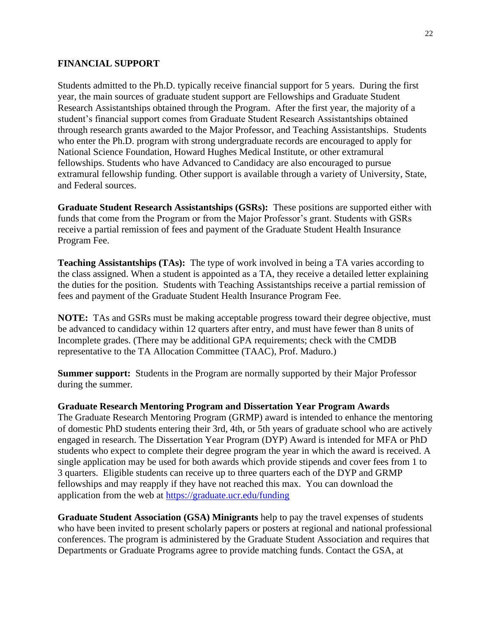### **FINANCIAL SUPPORT**

Students admitted to the Ph.D. typically receive financial support for 5 years. During the first year, the main sources of graduate student support are Fellowships and Graduate Student Research Assistantships obtained through the Program. After the first year, the majority of a student's financial support comes from Graduate Student Research Assistantships obtained through research grants awarded to the Major Professor, and Teaching Assistantships. Students who enter the Ph.D. program with strong undergraduate records are encouraged to apply for National Science Foundation, Howard Hughes Medical Institute, or other extramural fellowships. Students who have Advanced to Candidacy are also encouraged to pursue extramural fellowship funding. Other support is available through a variety of University, State, and Federal sources.

**Graduate Student Research Assistantships (GSRs):** These positions are supported either with funds that come from the Program or from the Major Professor's grant. Students with GSRs receive a partial remission of fees and payment of the Graduate Student Health Insurance Program Fee.

**Teaching Assistantships (TAs):** The type of work involved in being a TA varies according to the class assigned. When a student is appointed as a TA, they receive a detailed letter explaining the duties for the position. Students with Teaching Assistantships receive a partial remission of fees and payment of the Graduate Student Health Insurance Program Fee.

**NOTE:** TAs and GSRs must be making acceptable progress toward their degree objective, must be advanced to candidacy within 12 quarters after entry, and must have fewer than 8 units of Incomplete grades. (There may be additional GPA requirements; check with the CMDB representative to the TA Allocation Committee (TAAC), Prof. Maduro.)

**Summer support:** Students in the Program are normally supported by their Major Professor during the summer.

**Graduate Research Mentoring Program and Dissertation Year Program Awards**

The Graduate Research Mentoring Program (GRMP) award is intended to enhance the mentoring of domestic PhD students entering their 3rd, 4th, or 5th years of graduate school who are actively engaged in research. The Dissertation Year Program (DYP) Award is intended for MFA or PhD students who expect to complete their degree program the year in which the award is received. A single application may be used for both awards which provide stipends and cover fees from 1 to 3 quarters. Eligible students can receive up to three quarters each of the DYP and GRMP fellowships and may reapply if they have not reached this max. You can download the application from the web at<https://graduate.ucr.edu/funding>

**Graduate Student Association (GSA) Minigrants** help to pay the travel expenses of students who have been invited to present scholarly papers or posters at regional and national professional conferences. The program is administered by the Graduate Student Association and requires that Departments or Graduate Programs agree to provide matching funds. Contact the GSA, at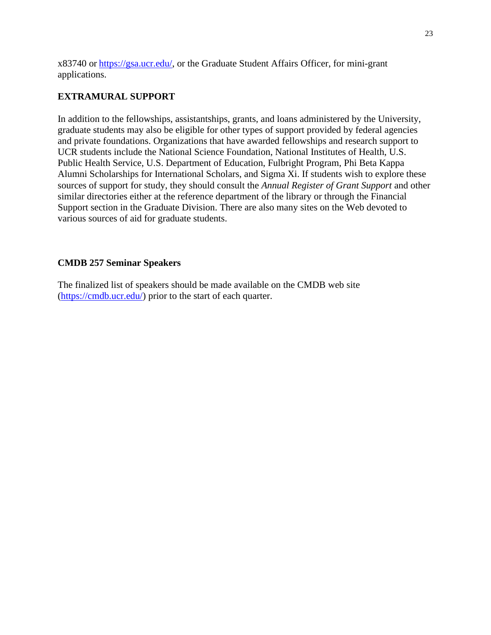x83740 or [https://gsa.ucr.edu/,](https://gsa.ucr.edu/) or the Graduate Student Affairs Officer, for mini-grant applications.

### **EXTRAMURAL SUPPORT**

In addition to the fellowships, assistantships, grants, and loans administered by the University, graduate students may also be eligible for other types of support provided by federal agencies and private foundations. Organizations that have awarded fellowships and research support to UCR students include the National Science Foundation, National Institutes of Health, U.S. Public Health Service, U.S. Department of Education, Fulbright Program, Phi Beta Kappa Alumni Scholarships for International Scholars, and Sigma Xi. If students wish to explore these sources of support for study, they should consult the *Annual Register of Grant Support* and other similar directories either at the reference department of the library or through the Financial Support section in the Graduate Division. There are also many sites on the Web devoted to various sources of aid for graduate students.

### **CMDB 257 Seminar Speakers**

The finalized list of speakers should be made available on the CMDB web site [\(https://cmdb.ucr.edu/\)](https://cmdb.ucr.edu/) prior to the start of each quarter.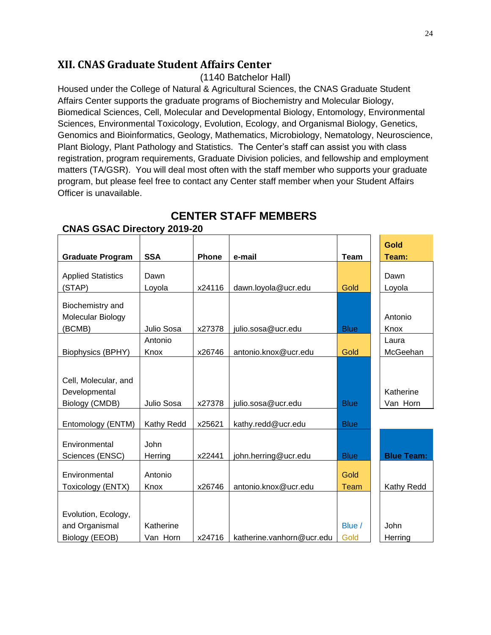# **XII. CNAS Graduate Student Affairs Center**

(1140 Batchelor Hall)

Housed under the College of Natural & Agricultural Sciences, the CNAS Graduate Student Affairs Center supports the graduate programs of Biochemistry and Molecular Biology, Biomedical Sciences, Cell, Molecular and Developmental Biology, Entomology, Environmental Sciences, Environmental Toxicology, Evolution, Ecology, and Organismal Biology, Genetics, Genomics and Bioinformatics, Geology, Mathematics, Microbiology, Nematology, Neuroscience, Plant Biology, Plant Pathology and Statistics. The Center's staff can assist you with class registration, program requirements, Graduate Division policies, and fellowship and employment matters (TA/GSR). You will deal most often with the staff member who supports your graduate program, but please feel free to contact any Center staff member when your Student Affairs Officer is unavailable.

**CENTER STAFF MEMBERS**

|                           |             |              |                           |             | Gold              |
|---------------------------|-------------|--------------|---------------------------|-------------|-------------------|
| <b>Graduate Program</b>   | <b>SSA</b>  | <b>Phone</b> | e-mail                    | <b>Team</b> | Team:             |
| <b>Applied Statistics</b> | Dawn        |              |                           |             | Dawn              |
| (STAP)                    | Loyola      | x24116       | dawn.loyola@ucr.edu       | Gold        | Loyola            |
| Biochemistry and          |             |              |                           |             |                   |
| Molecular Biology         |             |              |                           |             | Antonio           |
| (BCMB)                    | Julio Sosa  | x27378       | julio.sosa@ucr.edu        | <b>Blue</b> | Knox              |
|                           | Antonio     |              |                           |             | Laura             |
| <b>Biophysics (BPHY)</b>  | Knox        | x26746       | antonio.knox@ucr.edu      | Gold        | McGeehan          |
|                           |             |              |                           |             |                   |
| Cell, Molecular, and      |             |              |                           |             |                   |
| Developmental             |             |              |                           |             | Katherine         |
| Biology (CMDB)            | Julio Sosa  | x27378       | julio.sosa@ucr.edu        | <b>Blue</b> | Van Horn          |
|                           |             |              |                           |             |                   |
| Entomology (ENTM)         | Kathy Redd  | x25621       | kathy.redd@ucr.edu        | <b>Blue</b> |                   |
| Environmental             | <b>John</b> |              |                           |             |                   |
| Sciences (ENSC)           | Herring     | x22441       | john.herring@ucr.edu      | <b>Blue</b> | <b>Blue Team:</b> |
|                           |             |              |                           |             |                   |
| Environmental             | Antonio     |              |                           | Gold        |                   |
| Toxicology (ENTX)         | Knox        | x26746       | antonio.knox@ucr.edu      | <b>Team</b> | Kathy Redd        |
|                           |             |              |                           |             |                   |
| Evolution, Ecology,       |             |              |                           |             |                   |
| and Organismal            | Katherine   |              |                           | Blue /      | John              |
| Biology (EEOB)            | Van Horn    | x24716       | katherine.vanhorn@ucr.edu | Gold        | Herring           |

# **CNAS GSAC Directory 2019-20**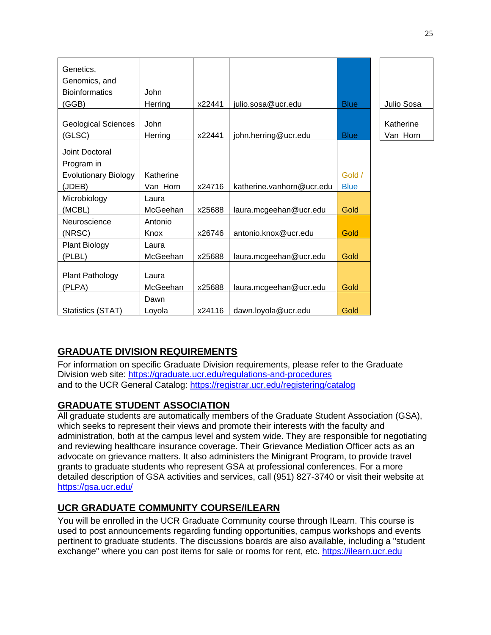| Genetics,<br>Genomics, and  |             |        |                           |             |            |
|-----------------------------|-------------|--------|---------------------------|-------------|------------|
| <b>Bioinformatics</b>       | <b>John</b> | x22441 | julio.sosa@ucr.edu        | <b>Blue</b> | Julio Sosa |
| (GGB)                       | Herring     |        |                           |             |            |
| <b>Geological Sciences</b>  | <b>John</b> |        |                           |             | Katherine  |
| (GLSC)                      | Herring     | x22441 | john.herring@ucr.edu      | <b>Blue</b> | Van Horn   |
| Joint Doctoral              |             |        |                           |             |            |
| Program in                  |             |        |                           |             |            |
| <b>Evolutionary Biology</b> | Katherine   |        |                           | Gold /      |            |
| (JDEB)                      | Van Horn    | x24716 | katherine.vanhorn@ucr.edu | <b>Blue</b> |            |
| Microbiology                | Laura       |        |                           |             |            |
| (MCBL)                      | McGeehan    | x25688 | laura.mcgeehan@ucr.edu    | Gold        |            |
| Neuroscience                | Antonio     |        |                           |             |            |
| (NRSC)                      | Knox        | x26746 | antonio.knox@ucr.edu      | <b>Gold</b> |            |
| <b>Plant Biology</b>        | Laura       |        |                           |             |            |
| (PLBL)                      | McGeehan    | x25688 | laura.mcgeehan@ucr.edu    | Gold        |            |
| <b>Plant Pathology</b>      | Laura       |        |                           |             |            |
| (PLPA)                      | McGeehan    | x25688 | laura.mcgeehan@ucr.edu    | Gold        |            |
|                             | Dawn        |        |                           |             |            |
| Statistics (STAT)           | Loyola      | x24116 | dawn.loyola@ucr.edu       | Gold        |            |

# **GRADUATE DIVISION REQUIREMENTS**

For information on specific Graduate Division requirements, please refer to the Graduate Division web site:<https://graduate.ucr.edu/regulations-and-procedures> and to the UCR General Catalog:<https://registrar.ucr.edu/registering/catalog>

# **GRADUATE STUDENT ASSOCIATION**

All graduate students are automatically members of the Graduate Student Association (GSA), which seeks to represent their views and promote their interests with the faculty and administration, both at the campus level and system wide. They are responsible for negotiating and reviewing healthcare insurance coverage. Their Grievance Mediation Officer acts as an advocate on grievance matters. It also administers the Minigrant Program, to provide travel grants to graduate students who represent GSA at professional conferences. For a more detailed description of GSA activities and services, call (951) 827-3740 or visit their website at <https://gsa.ucr.edu/>

# **UCR GRADUATE COMMUNITY COURSE/ILEARN**

You will be enrolled in the UCR Graduate Community course through ILearn. This course is used to post announcements regarding funding opportunities, campus workshops and events pertinent to graduate students. The discussions boards are also available, including a "student exchange" where you can post items for sale or rooms for rent, etc. [https://ilearn.ucr.edu](https://ilearn.ucr.edu/)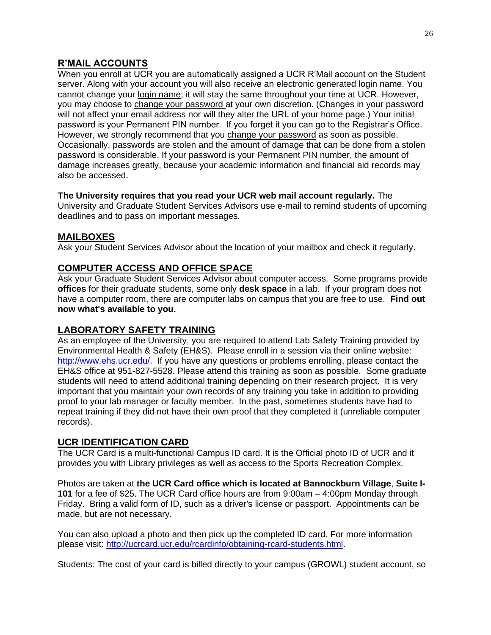# **R'MAIL ACCOUNTS**

When you enroll at UCR you are automatically assigned a UCR R'Mail account on the Student server. Along with your account you will also receive an electronic generated login name. You cannot change your login name; it will stay the same throughout your time at UCR. However, you may choose to change your password at your own discretion. (Changes in your password will not affect your email address nor will they alter the URL of your home page.) Your initial password is your Permanent PIN number. If you forget it you can go to the Registrar's Office. However, we strongly recommend that you change your password as soon as possible. Occasionally, passwords are stolen and the amount of damage that can be done from a stolen password is considerable. If your password is your Permanent PIN number, the amount of damage increases greatly, because your academic information and financial aid records may also be accessed.

### **The University requires that you read your UCR web mail account regularly.** The University and Graduate Student Services Advisors use e-mail to remind students of upcoming deadlines and to pass on important messages.

### **MAILBOXES**

Ask your Student Services Advisor about the location of your mailbox and check it regularly.

# **COMPUTER ACCESS AND OFFICE SPACE**

Ask your Graduate Student Services Advisor about computer access. Some programs provide **offices** for their graduate students, some only **desk space** in a lab. If your program does not have a computer room, there are computer labs on campus that you are free to use. **Find out now what's available to you.**

### **LABORATORY SAFETY TRAINING**

As an employee of the University, you are required to attend Lab Safety Training provided by Environmental Health & Safety (EH&S). Please enroll in a session via their online website: [http://www.ehs.ucr.edu/.](http://www.ehs.ucr.edu/) If you have any questions or problems enrolling, please contact the EH&S office at 951-827-5528. Please attend this training as soon as possible. Some graduate students will need to attend additional training depending on their research project. It is very important that you maintain your own records of any training you take in addition to providing proof to your lab manager or faculty member. In the past, sometimes students have had to repeat training if they did not have their own proof that they completed it (unreliable computer records).

### **UCR IDENTIFICATION CARD**

The UCR Card is a multi-functional Campus ID card. It is the Official photo ID of UCR and it provides you with Library privileges as well as access to the Sports Recreation Complex.

Photos are taken at **the UCR Card office which is located at Bannockburn Village**, **Suite I-101** for a fee of \$25. The UCR Card office hours are from 9:00am – 4:00pm Monday through Friday. Bring a valid form of ID, such as a driver's license or passport. Appointments can be made, but are not necessary.

You can also upload a photo and then pick up the completed ID card. For more information please visit: [http://ucrcard.ucr.edu/rcardinfo/obtaining-rcard-students.html.](http://ucrcard.ucr.edu/rcardinfo/obtaining-rcard-students.html)

Students: The cost of your card is billed directly to your campus (GROWL) student account, so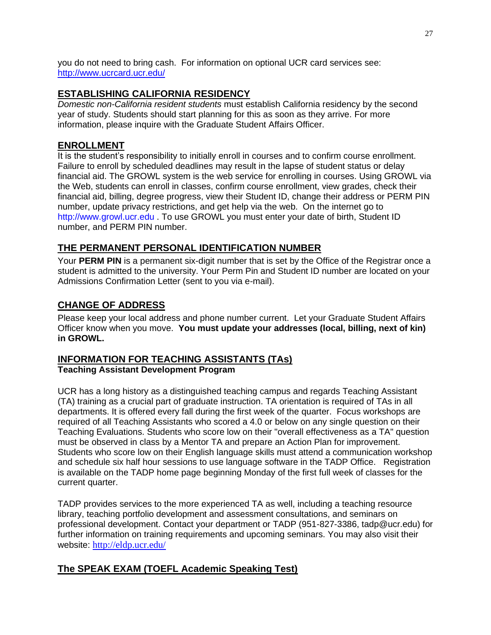you do not need to bring cash. For information on optional UCR card services see: <http://www.ucrcard.ucr.edu/>

## **ESTABLISHING CALIFORNIA RESIDENCY**

*Domestic non-California resident students* must establish California residency by the second year of study. Students should start planning for this as soon as they arrive. For more information, please inquire with the Graduate Student Affairs Officer.

# **ENROLLMENT**

It is the student's responsibility to initially enroll in courses and to confirm course enrollment. Failure to enroll by scheduled deadlines may result in the lapse of student status or delay financial aid. The GROWL system is the web service for enrolling in courses. Using GROWL via the Web, students can enroll in classes, confirm course enrollment, view grades, check their financial aid, billing, degree progress, view their Student ID, change their address or PERM PIN number, update privacy restrictions, and get help via the web. On the internet go to [http://www.growl.ucr.edu](http://www.growl.ucr.edu/) . To use GROWL you must enter your date of birth, Student ID number, and PERM PIN number.

# **THE PERMANENT PERSONAL IDENTIFICATION NUMBER**

Your **PERM PIN** is a permanent six-digit number that is set by the Office of the Registrar once a student is admitted to the university. Your Perm Pin and Student ID number are located on your Admissions Confirmation Letter (sent to you via e-mail).

# **CHANGE OF ADDRESS**

Please keep your local address and phone number current. Let your Graduate Student Affairs Officer know when you move. **You must update your addresses (local, billing, next of kin) in GROWL.** 

### **INFORMATION FOR TEACHING ASSISTANTS (TAs) Teaching Assistant Development Program**

UCR has a long history as a distinguished teaching campus and regards Teaching Assistant (TA) training as a crucial part of graduate instruction. TA orientation is required of TAs in all departments. It is offered every fall during the first week of the quarter. Focus workshops are required of all Teaching Assistants who scored a 4.0 or below on any single question on their Teaching Evaluations. Students who score low on their "overall effectiveness as a TA" question must be observed in class by a Mentor TA and prepare an Action Plan for improvement. Students who score low on their English language skills must attend a communication workshop and schedule six half hour sessions to use language software in the TADP Office. Registration is available on the TADP home page beginning Monday of the first full week of classes for the current quarter.

TADP provides services to the more experienced TA as well, including a teaching resource library, teaching portfolio development and assessment consultations, and seminars on professional development. Contact your department or TADP (951-827-3386, tadp@ucr.edu) for further information on training requirements and upcoming seminars. You may also visit their website: <http://eldp.ucr.edu/>

# **The SPEAK EXAM (TOEFL Academic Speaking Test)**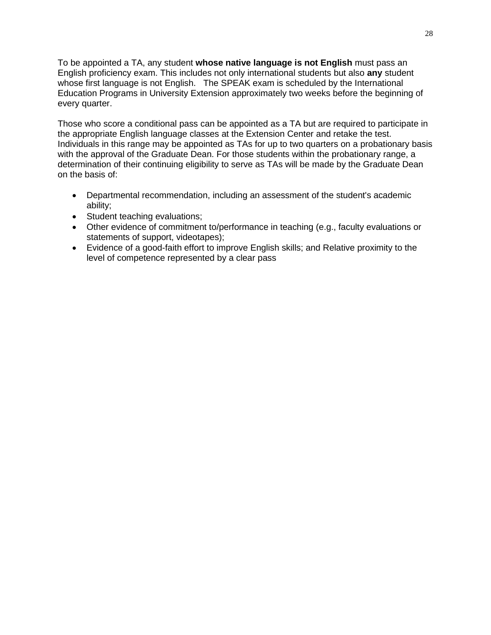To be appointed a TA, any student **whose native language is not English** must pass an English proficiency exam. This includes not only international students but also **any** student whose first language is not English. The SPEAK exam is scheduled by the International Education Programs in University Extension approximately two weeks before the beginning of every quarter.

Those who score a conditional pass can be appointed as a TA but are required to participate in the appropriate English language classes at the Extension Center and retake the test. Individuals in this range may be appointed as TAs for up to two quarters on a probationary basis with the approval of the Graduate Dean. For those students within the probationary range, a determination of their continuing eligibility to serve as TAs will be made by the Graduate Dean on the basis of:

- Departmental recommendation, including an assessment of the student's academic ability;
- Student teaching evaluations;
- Other evidence of commitment to/performance in teaching (e.g., faculty evaluations or statements of support, videotapes);
- Evidence of a good-faith effort to improve English skills; and Relative proximity to the level of competence represented by a clear pass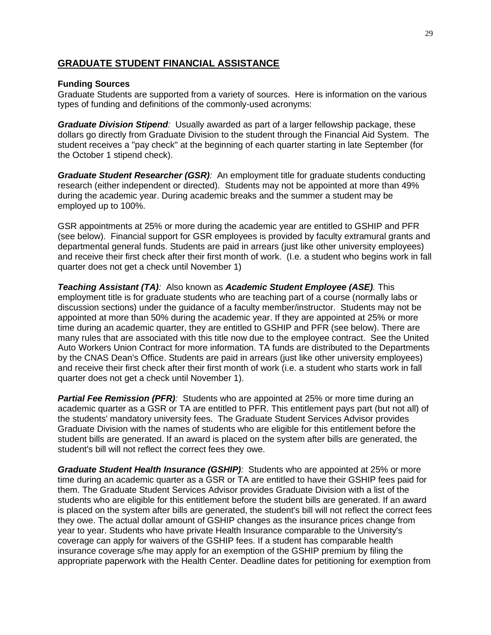### **GRADUATE STUDENT FINANCIAL ASSISTANCE**

### **Funding Sources**

Graduate Students are supported from a variety of sources. Here is information on the various types of funding and definitions of the commonly-used acronyms:

*Graduate Division Stipend:* Usually awarded as part of a larger fellowship package, these dollars go directly from Graduate Division to the student through the Financial Aid System. The student receives a "pay check" at the beginning of each quarter starting in late September (for the October 1 stipend check).

*Graduate Student Researcher (GSR):* An employment title for graduate students conducting research (either independent or directed). Students may not be appointed at more than 49% during the academic year. During academic breaks and the summer a student may be employed up to 100%.

GSR appointments at 25% or more during the academic year are entitled to GSHIP and PFR (see below). Financial support for GSR employees is provided by faculty extramural grants and departmental general funds. Students are paid in arrears (just like other university employees) and receive their first check after their first month of work. (I.e. a student who begins work in fall quarter does not get a check until November 1)

*Teaching Assistant (TA):* Also known as *Academic Student Employee (ASE).* This employment title is for graduate students who are teaching part of a course (normally labs or discussion sections) under the guidance of a faculty member/instructor. Students may not be appointed at more than 50% during the academic year. If they are appointed at 25% or more time during an academic quarter, they are entitled to GSHIP and PFR (see below). There are many rules that are associated with this title now due to the employee contract. See the United Auto Workers Union Contract for more information. TA funds are distributed to the Departments by the CNAS Dean's Office. Students are paid in arrears (just like other university employees) and receive their first check after their first month of work (i.e. a student who starts work in fall quarter does not get a check until November 1).

**Partial Fee Remission (PFR)**: Students who are appointed at 25% or more time during an academic quarter as a GSR or TA are entitled to PFR. This entitlement pays part (but not all) of the students' mandatory university fees. The Graduate Student Services Advisor provides Graduate Division with the names of students who are eligible for this entitlement before the student bills are generated. If an award is placed on the system after bills are generated, the student's bill will not reflect the correct fees they owe.

*Graduate Student Health Insurance (GSHIP):* Students who are appointed at 25% or more time during an academic quarter as a GSR or TA are entitled to have their GSHIP fees paid for them. The Graduate Student Services Advisor provides Graduate Division with a list of the students who are eligible for this entitlement before the student bills are generated. If an award is placed on the system after bills are generated, the student's bill will not reflect the correct fees they owe. The actual dollar amount of GSHIP changes as the insurance prices change from year to year. Students who have private Health Insurance comparable to the University's coverage can apply for waivers of the GSHIP fees. If a student has comparable health insurance coverage s/he may apply for an exemption of the GSHIP premium by filing the appropriate paperwork with the Health Center. Deadline dates for petitioning for exemption from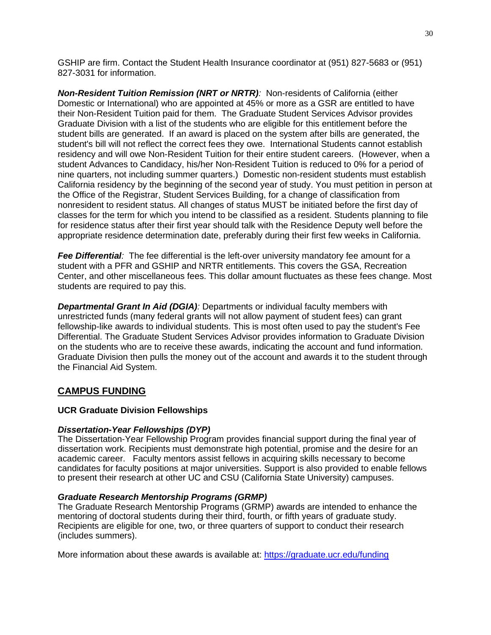GSHIP are firm. Contact the Student Health Insurance coordinator at (951) 827-5683 or (951) 827-3031 for information.

*Non-Resident Tuition Remission (NRT or NRTR):* Non-residents of California (either Domestic or International) who are appointed at 45% or more as a GSR are entitled to have their Non-Resident Tuition paid for them. The Graduate Student Services Advisor provides Graduate Division with a list of the students who are eligible for this entitlement before the student bills are generated. If an award is placed on the system after bills are generated, the student's bill will not reflect the correct fees they owe. International Students cannot establish residency and will owe Non-Resident Tuition for their entire student careers. (However, when a student Advances to Candidacy, his/her Non-Resident Tuition is reduced to 0% for a period of nine quarters, not including summer quarters.) Domestic non-resident students must establish California residency by the beginning of the second year of study. You must petition in person at the Office of the Registrar, Student Services Building, for a change of classification from nonresident to resident status. All changes of status MUST be initiated before the first day of classes for the term for which you intend to be classified as a resident. Students planning to file for residence status after their first year should talk with the Residence Deputy well before the appropriate residence determination date, preferably during their first few weeks in California.

*Fee Differential:* The fee differential is the left-over university mandatory fee amount for a student with a PFR and GSHIP and NRTR entitlements. This covers the GSA, Recreation Center, and other miscellaneous fees. This dollar amount fluctuates as these fees change. Most students are required to pay this.

*Departmental Grant In Aid (DGIA):* Departments or individual faculty members with unrestricted funds (many federal grants will not allow payment of student fees) can grant fellowship-like awards to individual students. This is most often used to pay the student's Fee Differential. The Graduate Student Services Advisor provides information to Graduate Division on the students who are to receive these awards, indicating the account and fund information. Graduate Division then pulls the money out of the account and awards it to the student through the Financial Aid System.

### **CAMPUS FUNDING**

### **UCR Graduate Division Fellowships**

### *Dissertation-Year Fellowships (DYP)*

The Dissertation-Year Fellowship Program provides financial support during the final year of dissertation work. Recipients must demonstrate high potential, promise and the desire for an academic career. Faculty mentors assist fellows in acquiring skills necessary to become candidates for faculty positions at major universities. Support is also provided to enable fellows to present their research at other UC and CSU (California State University) campuses.

### *Graduate Research Mentorship Programs (GRMP)*

The Graduate Research Mentorship Programs (GRMP) awards are intended to enhance the mentoring of doctoral students during their third, fourth, or fifth years of graduate study. Recipients are eligible for one, two, or three quarters of support to conduct their research (includes summers).

More information about these awards is available at:<https://graduate.ucr.edu/funding>